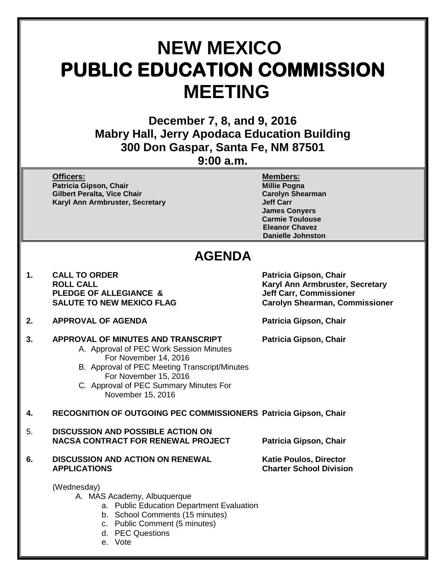# **NEW MEXICO PUBLIC EDUCATION COMMISSION MEETING**

**December 7, 8, and 9, 2016 Mabry Hall, Jerry Apodaca Education Building 300 Don Gaspar, Santa Fe, NM 87501**

**9:00 a.m.**

**Officers: Members: Patricia Gipson, Chair Gilbert Peralta, Vice Chair Carolyn Shearman Karyl Ann Armbruster, Secretary** 

**James Conyers Carmie Toulouse Eleanor Chavez Danielle Johnston**

## **AGENDA**

- 1. CALL TO ORDER **Patricia Gipson, Chair**<br>ROLL CALL **PROVISION PLEDGE OF ALLEGIANCE & SALUTE TO NEW MEXICO FLAG**
- **2. APPROVAL OF AGENDA Patricia Gipson, Chair**
- **3. APPROVAL OF MINUTES AND TRANSCRIPT Patricia Gipson, Chair** A. Approval of PEC Work Session Minutes
	- For November 14, 2016 B. Approval of PEC Meeting Transcript/Minutes For November 15, 2016
	- C. Approval of PEC Summary Minutes For November 15, 2016

**4. RECOGNITION OF OUTGOING PEC COMMISSIONERS Patricia Gipson, Chair**

- 5. **DISCUSSION AND POSSIBLE ACTION ON NACSA CONTRACT FOR RENEWAL PROJECT Patricia Gipson, Chair**
- **6.** DISCUSSION AND ACTION ON RENEWAL **Katie Poulos, Director**<br>APPLICATIONS Charter School Divisio

**Charter School Division** 

(Wednesday)

- A. MAS Academy, Albuquerque
	- a. Public Education Department Evaluation
	- b. School Comments (15 minutes)
	- c. Public Comment (5 minutes)
	- d. PEC Questions
	- e. Vote

**Karyl Ann Armbruster, Secretary<br>Jeff Carr, Commissioner Carolyn Shearman, Commissioner**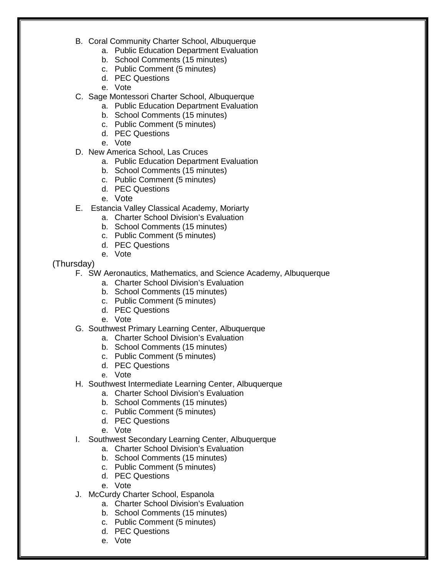- B. Coral Community Charter School, Albuquerque
	- a. Public Education Department Evaluation
	- b. School Comments (15 minutes)
	- c. Public Comment (5 minutes)
	- d. PEC Questions
	- e. Vote
- C. Sage Montessori Charter School, Albuquerque
	- a. Public Education Department Evaluation
		- b. School Comments (15 minutes)
		- c. Public Comment (5 minutes)
		- d. PEC Questions
	- e. Vote
- D. New America School, Las Cruces
	- a. Public Education Department Evaluation
	- b. School Comments (15 minutes)
	- c. Public Comment (5 minutes)
	- d. PEC Questions
	- e. Vote
- E. Estancia Valley Classical Academy, Moriarty
	- a. Charter School Division's Evaluation
	- b. School Comments (15 minutes)
	- c. Public Comment (5 minutes)
	- d. PEC Questions
	- e. Vote

(Thursday)

- F. SW Aeronautics, Mathematics, and Science Academy, Albuquerque
	- a. Charter School Division's Evaluation
	- b. School Comments (15 minutes)
	- c. Public Comment (5 minutes)
	- d. PEC Questions
	- e. Vote
- G. Southwest Primary Learning Center, Albuquerque
	- a. Charter School Division's Evaluation
	- b. School Comments (15 minutes)
	- c. Public Comment (5 minutes)
	- d. PEC Questions
	- e. Vote
- H. Southwest Intermediate Learning Center, Albuquerque
	- a. Charter School Division's Evaluation
	- b. School Comments (15 minutes)
	- c. Public Comment (5 minutes)
	- d. PEC Questions
	- e. Vote
- I. Southwest Secondary Learning Center, Albuquerque
	- a. Charter School Division's Evaluation
	- b. School Comments (15 minutes)
	- c. Public Comment (5 minutes)
	- d. PEC Questions
	- e. Vote
- J. McCurdy Charter School, Espanola
	- a. Charter School Division's Evaluation
	- b. School Comments (15 minutes)
	- c. Public Comment (5 minutes)
	- d. PEC Questions
	- e. Vote